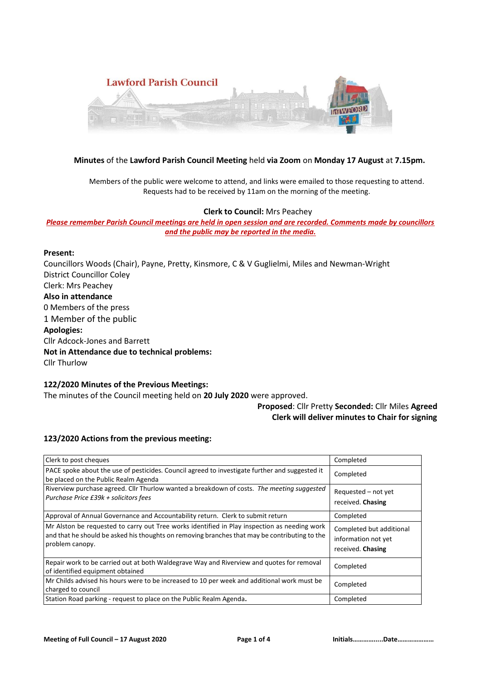

### **Minutes** of the **Lawford Parish Council Meeting** held **via Zoom** on **Monday 17 August** at **7.15pm.**

Members of the public were welcome to attend, and links were emailed to those requesting to attend. Requests had to be received by 11am on the morning of the meeting.

#### **Clerk to Council:** Mrs Peachey

*Please remember Parish Council meetings are held in open session and are recorded. Comments made by councillors and the public may be reported in the media.* 

## **Present:**

Councillors Woods (Chair), Payne, Pretty, Kinsmore, C & V Guglielmi, Miles and Newman-Wright District Councillor Coley Clerk: Mrs Peachey **Also in attendance** 0 Members of the press 1 Member of the public **Apologies:** Cllr Adcock-Jones and Barrett **Not in Attendance due to technical problems:** Cllr Thurlow

## **122/2020 Minutes of the Previous Meetings:**

The minutes of the Council meeting held on **20 July 2020** were approved.

### **Proposed**: Cllr Pretty **Seconded:** Cllr Miles **Agreed Clerk will deliver minutes to Chair for signing**

#### **123/2020 Actions from the previous meeting:**

| Clerk to post cheques                                                                                                                                                                                            | Completed                                                            |
|------------------------------------------------------------------------------------------------------------------------------------------------------------------------------------------------------------------|----------------------------------------------------------------------|
| PACE spoke about the use of pesticides. Council agreed to investigate further and suggested it<br>be placed on the Public Realm Agenda                                                                           | Completed                                                            |
| Riverview purchase agreed. Cllr Thurlow wanted a breakdown of costs. The meeting suggested<br>Purchase Price £39k + solicitors fees                                                                              | Requested - not yet<br>received. Chasing                             |
| Approval of Annual Governance and Accountability return. Clerk to submit return                                                                                                                                  | Completed                                                            |
| Mr Alston be requested to carry out Tree works identified in Play inspection as needing work<br>and that he should be asked his thoughts on removing branches that may be contributing to the<br>problem canopy. | Completed but additional<br>information not yet<br>received. Chasing |
| Repair work to be carried out at both Waldegrave Way and Riverview and quotes for removal<br>of identified equipment obtained                                                                                    | Completed                                                            |
| Mr Childs advised his hours were to be increased to 10 per week and additional work must be<br>charged to council                                                                                                | Completed                                                            |
| Station Road parking - request to place on the Public Realm Agenda.                                                                                                                                              | Completed                                                            |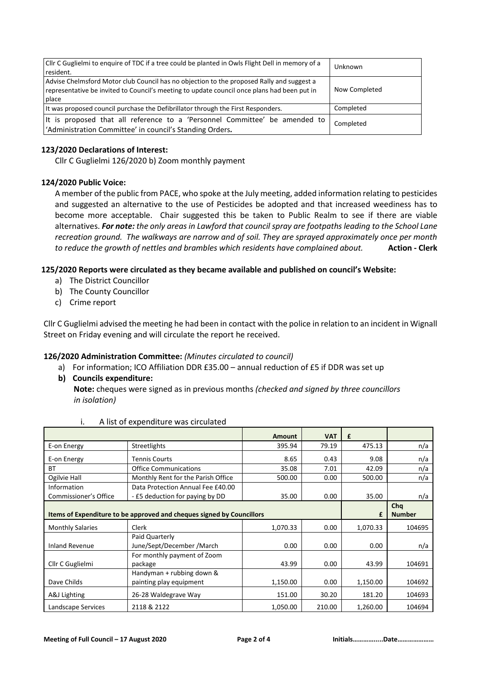| Cllr C Guglielmi to enquire of TDC if a tree could be planted in Owls Flight Dell in memory of a<br>resident.                                                                                     | Unknown       |
|---------------------------------------------------------------------------------------------------------------------------------------------------------------------------------------------------|---------------|
| Advise Chelmsford Motor club Council has no objection to the proposed Rally and suggest a<br>representative be invited to Council's meeting to update council once plans had been put in<br>place | Now Completed |
| It was proposed council purchase the Defibrillator through the First Responders.                                                                                                                  | Completed     |
| It is proposed that all reference to a 'Personnel Committee' be amended to<br>'Administration Committee' in council's Standing Orders.                                                            | Completed     |

## **123/2020 Declarations of Interest:**

Cllr C Guglielmi 126/2020 b) Zoom monthly payment

### **124/2020 Public Voice:**

A member of the public from PACE, who spoke at the July meeting, added information relating to pesticides and suggested an alternative to the use of Pesticides be adopted and that increased weediness has to become more acceptable. Chair suggested this be taken to Public Realm to see if there are viable alternatives. *For note: the only areas in Lawford that council spray are footpaths leading to the School Lane recreation ground. The walkways are narrow and of soil. They are sprayed approximately once per month to reduce the growth of nettles and brambles which residents have complained about.* **Action - Clerk**

### **125/2020 Reports were circulated as they became available and published on council's Website:**

- a) The District Councillor
- b) The County Councillor
- c) Crime report

Cllr C Guglielmi advised the meeting he had been in contact with the police in relation to an incident in Wignall Street on Friday evening and will circulate the report he received.

### **126/2020 Administration Committee:** *(Minutes circulated to council)*

- a) For information; ICO Affiliation DDR £35.00 annual reduction of £5 if DDR was set up
- **b) Councils expenditure:**

 **Note:** cheques were signed as in previous months *(checked and signed by three councillors in isolation)* 

|                                                                       |                                              | <b>Amount</b> | <b>VAT</b> | £        |               |
|-----------------------------------------------------------------------|----------------------------------------------|---------------|------------|----------|---------------|
| E-on Energy                                                           | Streetlights                                 | 395.94        | 79.19      | 475.13   | n/a           |
| E-on Energy                                                           | <b>Tennis Courts</b>                         | 8.65          | 0.43       | 9.08     | n/a           |
| <b>BT</b>                                                             | <b>Office Communications</b>                 | 35.08         | 7.01       | 42.09    | n/a           |
| Ogilvie Hall                                                          | Monthly Rent for the Parish Office           | 500.00        | 0.00       | 500.00   | n/a           |
| Information                                                           | Data Protection Annual Fee £40.00            |               |            |          |               |
| Commissioner's Office                                                 | - £5 deduction for paying by DD              | 35.00         | 0.00       | 35.00    | n/a           |
|                                                                       |                                              |               |            |          | Cha           |
| Items of Expenditure to be approved and cheques signed by Councillors |                                              |               |            | £        | <b>Number</b> |
| <b>Monthly Salaries</b>                                               | Clerk                                        | 1,070.33      | 0.00       | 1,070.33 | 104695        |
| <b>Inland Revenue</b>                                                 | Paid Quarterly<br>June/Sept/December / March | 0.00          | 0.00       | 0.00     | n/a           |
| Cllr C Guglielmi                                                      | For monthly payment of Zoom<br>package       | 43.99         | 0.00       | 43.99    | 104691        |
|                                                                       | Handyman + rubbing down &                    |               |            |          |               |
| Dave Childs                                                           | painting play equipment                      | 1,150.00      | 0.00       | 1,150.00 | 104692        |
| A&J Lighting                                                          | 26-28 Waldegrave Way                         | 151.00        | 30.20      | 181.20   | 104693        |
| Landscape Services                                                    | 2118 & 2122                                  | 1,050.00      | 210.00     | 1,260.00 | 104694        |

i. A list of expenditure was circulated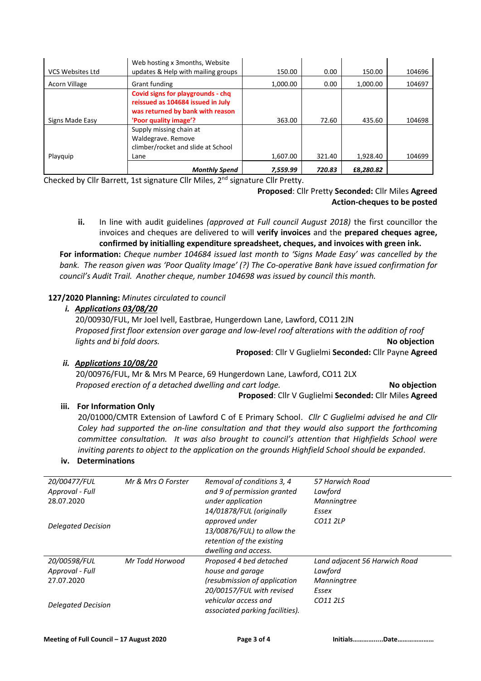|                  | Web hosting x 3 months, Website    |          |        |           |        |
|------------------|------------------------------------|----------|--------|-----------|--------|
| VCS Websites Ltd | updates & Help with mailing groups | 150.00   | 0.00   | 150.00    | 104696 |
| Acorn Village    | Grant funding                      | 1.000.00 | 0.00   | 1.000.00  | 104697 |
|                  | Covid signs for playgrounds - chq  |          |        |           |        |
|                  | reissued as 104684 issued in July  |          |        |           |        |
|                  | was returned by bank with reason   |          |        |           |        |
| Signs Made Easy  | 'Poor quality image'?              | 363.00   | 72.60  | 435.60    | 104698 |
|                  | Supply missing chain at            |          |        |           |        |
|                  | Waldegrave. Remove                 |          |        |           |        |
|                  | climber/rocket and slide at School |          |        |           |        |
| Playquip         | Lane                               | 1,607.00 | 321.40 | 1,928.40  | 104699 |
|                  | <b>Monthly Spend</b>               | 7,559.99 | 720.83 | £8,280.82 |        |

Checked by Cllr Barrett, 1st signature Cllr Miles, 2nd signature Cllr Pretty.

# **Proposed**: Cllr Pretty **Seconded:** Cllr Miles **Agreed Action-cheques to be posted**

**ii.** In line with audit guidelines *(approved at Full council August 2018)* the first councillor the invoices and cheques are delivered to will **verify invoices** and the **prepared cheques agree, confirmed by initialling expenditure spreadsheet, cheques, and invoices with green ink.** 

**For information:** *Cheque number 104684 issued last month to 'Signs Made Easy' was cancelled by the bank. The reason given was 'Poor Quality Image' (?) The Co-operative Bank have issued confirmation for council's Audit Trail. Another cheque, number 104698 was issued by council this month.*

# **127/2020 Planning:** *Minutes circulated to council*

### *i.**Applications 03/08/20*

20/00930/FUL, Mr Joel Ivell, Eastbrae, Hungerdown Lane, Lawford, CO11 2JN *Proposed first floor extension over garage and low-level roof alterations with the addition of roof lights and bi fold doors.* **No objection**

**Proposed**: Cllr V Guglielmi **Seconded:** Cllr Payne **Agreed**

### *ii. Applications 10/08/20*

20/00976/FUL, Mr & Mrs M Pearce, 69 Hungerdown Lane, Lawford, CO11 2LX *Proposed erection of a detached dwelling and cart lodge.* **No objection**

**Proposed**: Cllr V Guglielmi **Seconded:** Cllr Miles **Agreed**

### **iii. For Information Only**

20/01000/CMTR Extension of Lawford C of E Primary School. *Cllr C Guglielmi advised he and Cllr Coley had supported the on-line consultation and that they would also support the forthcoming committee consultation. It was also brought to council's attention that Highfields School were inviting parents to object to the application on the grounds Highfield School should be expanded*.

### **iv. Determinations**

| 20/00477/FUL              | Mr & Mrs O Forster | Removal of conditions 3, 4                              | 57 Harwich Road               |
|---------------------------|--------------------|---------------------------------------------------------|-------------------------------|
| Approval - Full           |                    | and 9 of permission granted                             | Lawford                       |
| 28.07.2020                |                    | under application                                       | Manningtree                   |
|                           |                    | 14/01878/FUL (originally                                | Essex                         |
|                           |                    | approved under                                          | CO11 2LP                      |
| <b>Delegated Decision</b> |                    | 13/00876/FUL) to allow the                              |                               |
|                           |                    | retention of the existing                               |                               |
|                           |                    | dwelling and access.                                    |                               |
| 20/00598/FUL              | Mr Todd Horwood    | Proposed 4 bed detached                                 | Land adjacent 56 Harwich Road |
| Approval - Full           |                    | house and garage                                        | Lawford                       |
| 27.07.2020                |                    | (resubmission of application                            | Manningtree                   |
|                           |                    | 20/00157/FUL with revised                               | Essex                         |
| Delegated Decision        |                    | vehicular access and<br>associated parking facilities). | CO11 2LS                      |